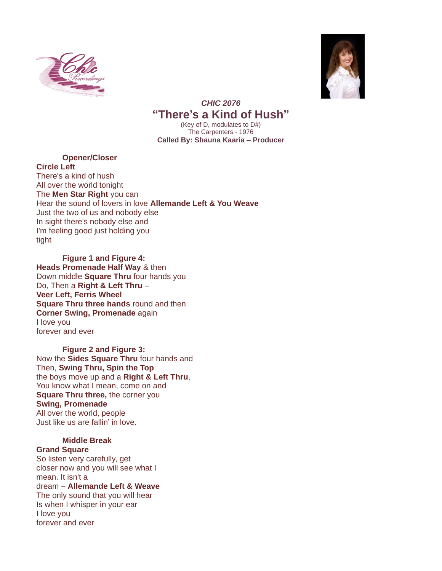



## *CHIC 2076* **"There's a Kind of Hush"**

(Key of D, modulates to D#) The Carpenters - 1976 **Called By: Shauna Kaaria – Producer**

## **Opener/Closer**

**Circle Left** There's a kind of hush All over the world tonight The **Men Star Right** you can Hear the sound of lovers in love **Allemande Left & You Weave** Just the two of us and nobody else In sight there's nobody else and I'm feeling good just holding you tight

 **Figure 1 and Figure 4: Heads Promenade Half Way** & then Down middle **Square Thru** four hands you Do, Then a **Right & Left Thru** – **Veer Left, Ferris Wheel Square Thru three hands** round and then **Corner Swing, Promenade** again I love you forever and ever

 **Figure 2 and Figure 3:**  Now the **Sides Square Thru** four hands and Then, **Swing Thru, Spin the Top** the boys move up and a **Right & Left Thru**, You know what I mean, come on and **Square Thru three,** the corner you **Swing, Promenade**  All over the world, people Just like us are fallin' in love.

## **Middle Break**

**Grand Square** So listen very carefully, get closer now and you will see what I mean. It isn't a dream – **Allemande Left & Weave** The only sound that you will hear Is when I whisper in your ear I love you forever and ever